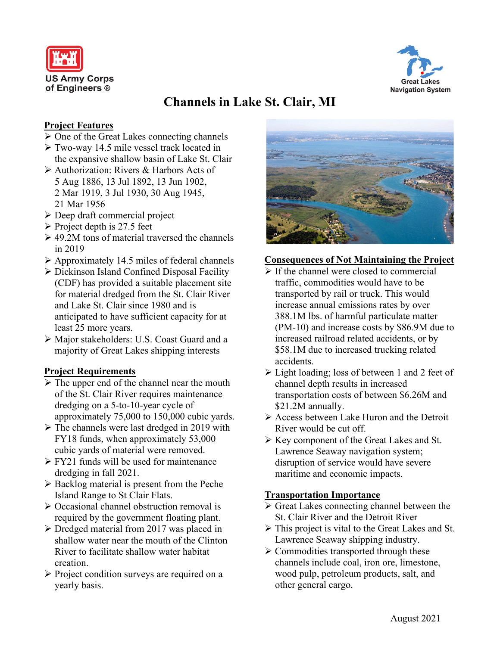



# **Channels in Lake St. Clair, MI**

### **Project Features**

- $\triangleright$  One of the Great Lakes connecting channels
- Two-way 14.5 mile vessel track located in the expansive shallow basin of Lake St. Clair
- Authorization: Rivers & Harbors Acts of 5 Aug 1886, 13 Jul 1892, 13 Jun 1902, 2 Mar 1919, 3 Jul 1930, 30 Aug 1945, 21 Mar 1956
- Deep draft commercial project
- $\triangleright$  Project depth is 27.5 feet
- $\geq 49.2M$  tons of material traversed the channels in 2019
- $\triangleright$  Approximately 14.5 miles of federal channels
- Dickinson Island Confined Disposal Facility (CDF) has provided a suitable placement site for material dredged from the St. Clair River and Lake St. Clair since 1980 and is anticipated to have sufficient capacity for at least 25 more years.
- Major stakeholders: U.S. Coast Guard and a majority of Great Lakes shipping interests

## **Project Requirements**

- $\triangleright$  The upper end of the channel near the mouth of the St. Clair River requires maintenance dredging on a 5-to-10-year cycle of approximately 75,000 to 150,000 cubic yards.
- $\triangleright$  The channels were last dredged in 2019 with FY18 funds, when approximately 53,000 cubic yards of material were removed.
- $\triangleright$  FY21 funds will be used for maintenance dredging in fall 2021.
- $\triangleright$  Backlog material is present from the Peche Island Range to St Clair Flats.
- ▶ Occasional channel obstruction removal is required by the government floating plant.
- $\triangleright$  Dredged material from 2017 was placed in shallow water near the mouth of the Clinton River to facilitate shallow water habitat creation.
- $\triangleright$  Project condition surveys are required on a yearly basis.



#### **Consequences of Not Maintaining the Project**

- $\triangleright$  If the channel were closed to commercial traffic, commodities would have to be transported by rail or truck. This would increase annual emissions rates by over 388.1M lbs. of harmful particulate matter (PM-10) and increase costs by \$86.9M due to increased railroad related accidents, or by \$58.1M due to increased trucking related accidents.
- Light loading; loss of between 1 and 2 feet of channel depth results in increased transportation costs of between \$6.26M and \$21.2M annually.
- Access between Lake Huron and the Detroit River would be cut off.
- Key component of the Great Lakes and St. Lawrence Seaway navigation system; disruption of service would have severe maritime and economic impacts.

#### **Transportation Importance**

- $\triangleright$  Great Lakes connecting channel between the St. Clair River and the Detroit River
- $\triangleright$  This project is vital to the Great Lakes and St. Lawrence Seaway shipping industry.
- $\triangleright$  Commodities transported through these channels include coal, iron ore, limestone, wood pulp, petroleum products, salt, and other general cargo.